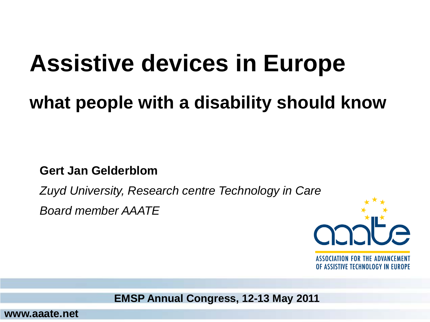### **Assistive devices in Europe**

#### **what people with a disability should know**

**Gert Jan Gelderblom**

*Zuyd University, Research centre Technology in Care*

*Board member AAATE* 



**ASSOCIATION FOR THE ADVANCEMENT** OF ASSISTIVE TECHNOLOGY IN EUROPE

**EMSP Annual Congress, 12-13 May 2011**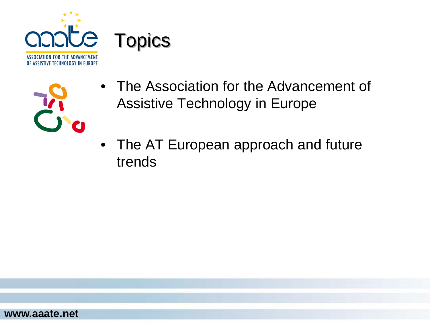



- The Association for the Advancement of Assistive Technology in Europe
- The AT European approach and future trends

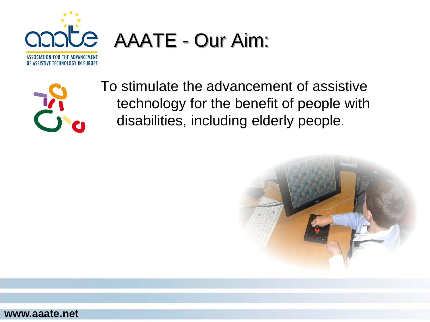

# AAATE - Our Aim:



To stimulate the advancement of assistive technology for the benefit of people with disabilities, including elderly people.



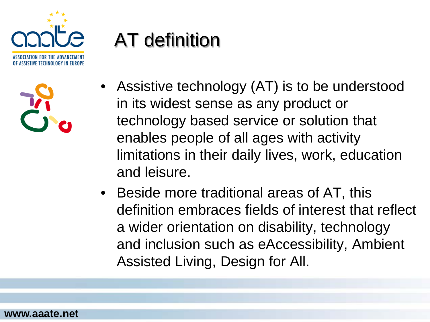

| I/ |   |
|----|---|
|    | C |

#### AT definition

- Assistive technology (AT) is to be understood in its widest sense as any product or technology based service or solution that enables people of all ages with activity limitations in their daily lives, work, education and leisure.
- Beside more traditional areas of AT, this definition embraces fields of interest that reflect a wider orientation on disability, technology and inclusion such as eAccessibility, Ambient Assisted Living, Design for All.

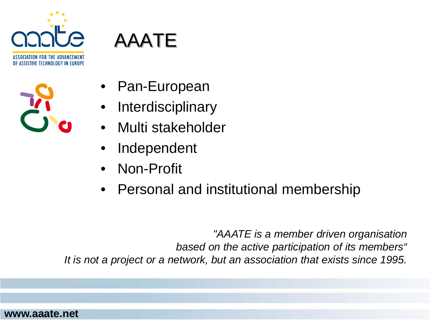

| is a<br>L |  |
|-----------|--|
| Ø         |  |



- Pan-European
- **Interdisciplinary**
- Multi stakeholder
- **Independent**
- Non-Profit
- Personal and institutional membership

*"AAATE is a member driven organisation based on the active participation of its members" It is not a project or a network, but an association that exists since 1995.*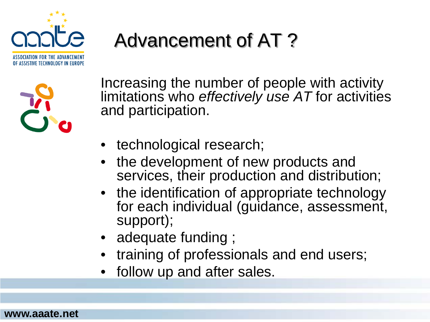

#### Advancement of AT ?



Increasing the number of people with activity limitations who *effectively use AT* for activities and participation.

- technological research;
- the development of new products and services, their production and distribution;
- the identification of appropriate technology for each individual (guidance, assessment, support);
- adequate funding;
- training of professionals and end users;
- follow up and after sales.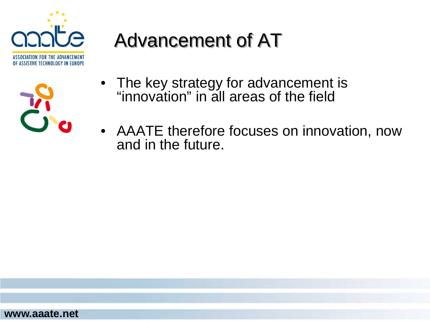

| is a                                        |
|---------------------------------------------|
| $\begin{array}{c} \bullet \end{array}$<br>Ø |

#### Advancement of AT

- The key strategy for advancement is "innovation" in all areas of the field
- AAATE therefore focuses on innovation, now and in the future.

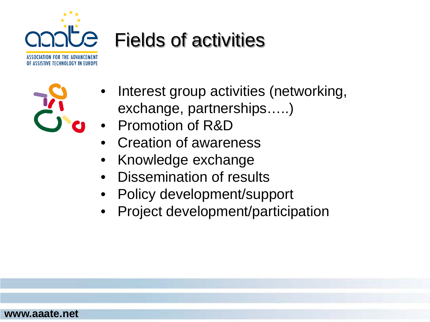

#### Fields of activities



- Interest group activities (networking, exchange, partnerships…..)
- Promotion of R&D
- Creation of awareness
- Knowledge exchange
- Dissemination of results
- Policy development/support
- Project development/participation

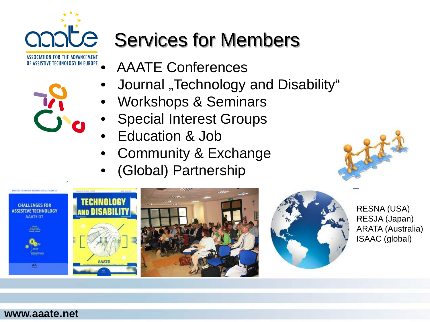

### COOCE Services for Members

- AAATE Conferences
- Journal "Technology and Disability"
- Workshops & Seminars
- **Special Interest Groups**
- Education & Job
- Community & Exchange
- (Global) Partnership





RESNA (USA) RESJA (Japan) ARATA (Australia) ISAAC (global)

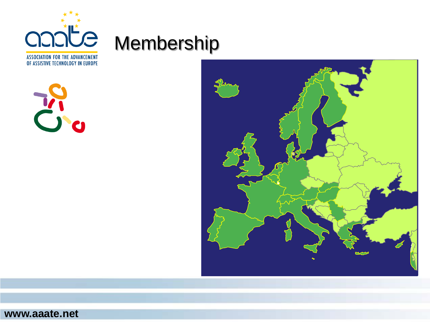

OF ASSISTIVE TECHNOLOGY IN EUROPE



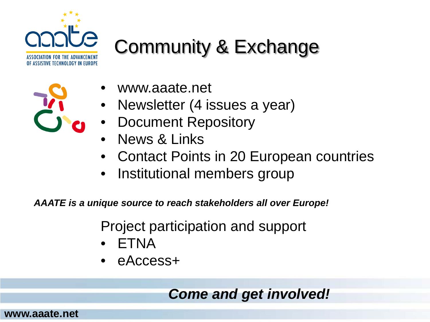

#### Community & Exchange

- www.aaate.net
- Newsletter (4 issues a year)
- Document Repository
- News & Links
- Contact Points in 20 European countries
- Institutional members group

*AAATE is a unique source to reach stakeholders all over Europe!*

Project participation and support

- ETNA
- eAccess+

*Come and get involved!*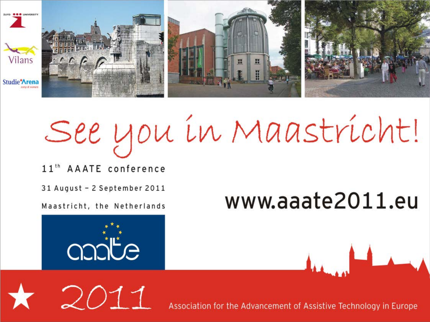

# See you in Maastricht!

11<sup>th</sup> AAATE conference

31 August - 2 September 2011

Maastricht, the Netherlands

## www.aaate2011.eu



2011



Association for the Advancement of Assistive Technology in Europe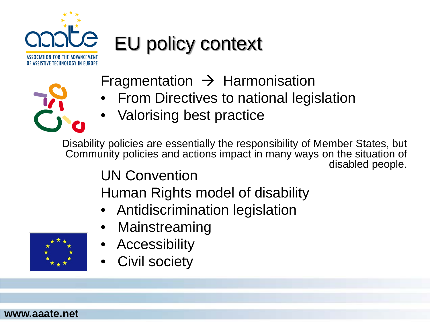

#### EU policy context

Fragmentation  $\rightarrow$  Harmonisation

- From Directives to national legislation
- Valorising best practice

UN Convention Disability policies are essentially the responsibility of Member States, but Community policies and actions impact in many ways on the situation of disabled people.

Human Rights model of disability

- Antidiscrimination legislation
- **Mainstreaming**
- **Accessibility**
- Civil society

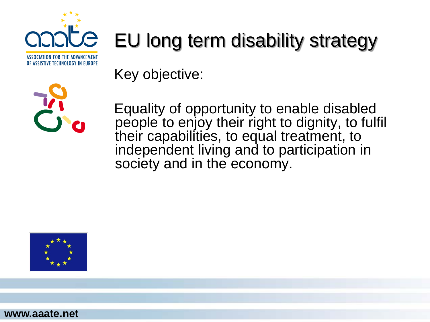

#### EU long term disability strategy

Key objective:



Equality of opportunity to enable disabled people to enjoy their right to dignity, to fulfil their capabilities, to equal treatment, to independent living and to participation in society and in the economy.

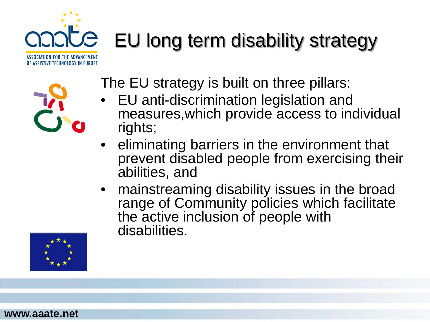# **Je** EU long term disability strategy



ASSOCIATION FOR THE ADVANCEMENT OF ASSISTIVE TECHNOLOGY IN EUROPE

The EU strategy is built on three pillars:

- EU anti-discrimination legislation and measures,which provide access to individual rights;
- eliminating barriers in the environment that prevent disabled people from exercising their abilities, and
- mainstreaming disability issues in the broad range of Community policies which facilitate the active inclusion of people with disabilities.

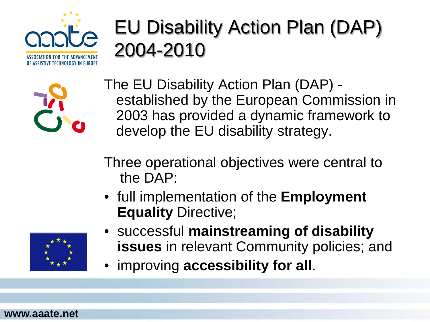

#### EU Disability Action Plan (DAP) 2004-2010



The EU Disability Action Plan (DAP) established by the European Commission in 2003 has provided a dynamic framework to develop the EU disability strategy.

Three operational objectives were central to the DAP:

• full implementation of the **Employment Equality** Directive;



- successful **mainstreaming of disability issues** in relevant Community policies; and
- improving **accessibility for all**.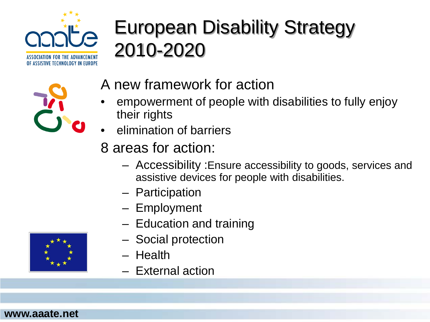

#### European Disability Strategy 2010-2020



- A new framework for action
- empowerment of people with disabilities to fully enjoy their rights
- elimination of barriers
- 8 areas for action:
	- Accessibility :Ensure accessibility to goods, services and assistive devices for people with disabilities.
	- Participation
	- Employment
	- Education and training
	- Social protection
	- Health
	- External action

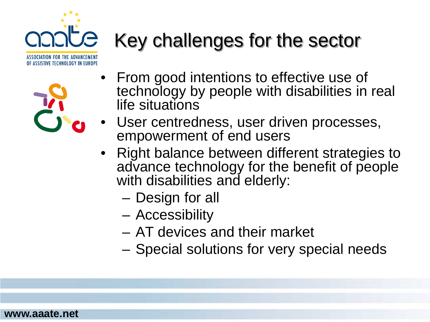



**www.aaate.net**

### Key challenges for the sector

- From good intentions to effective use of technology by people with disabilities in real life situations
- User centredness, user driven processes, empowerment of end users
- Right balance between different strategies to advance technology for the benefit of people with disabilities and elderly:
	- Design for all
	- Accessibility
	- AT devices and their market
	- Special solutions for very special needs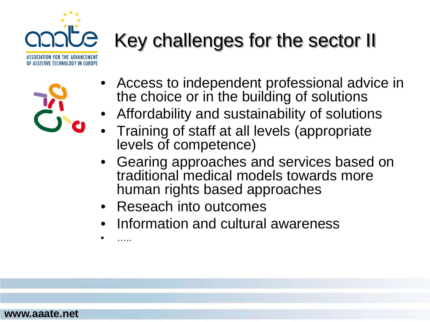

### Key challenges for the sector II

- Access to independent professional advice in the choice or in the building of solutions
- Affordability and sustainability of solutions
- Training of staff at all levels (appropriate levels of competence)
- Gearing approaches and services based on traditional medical models towards more human rights based approaches
- Reseach into outcomes
- Information and cultural awareness

• …..